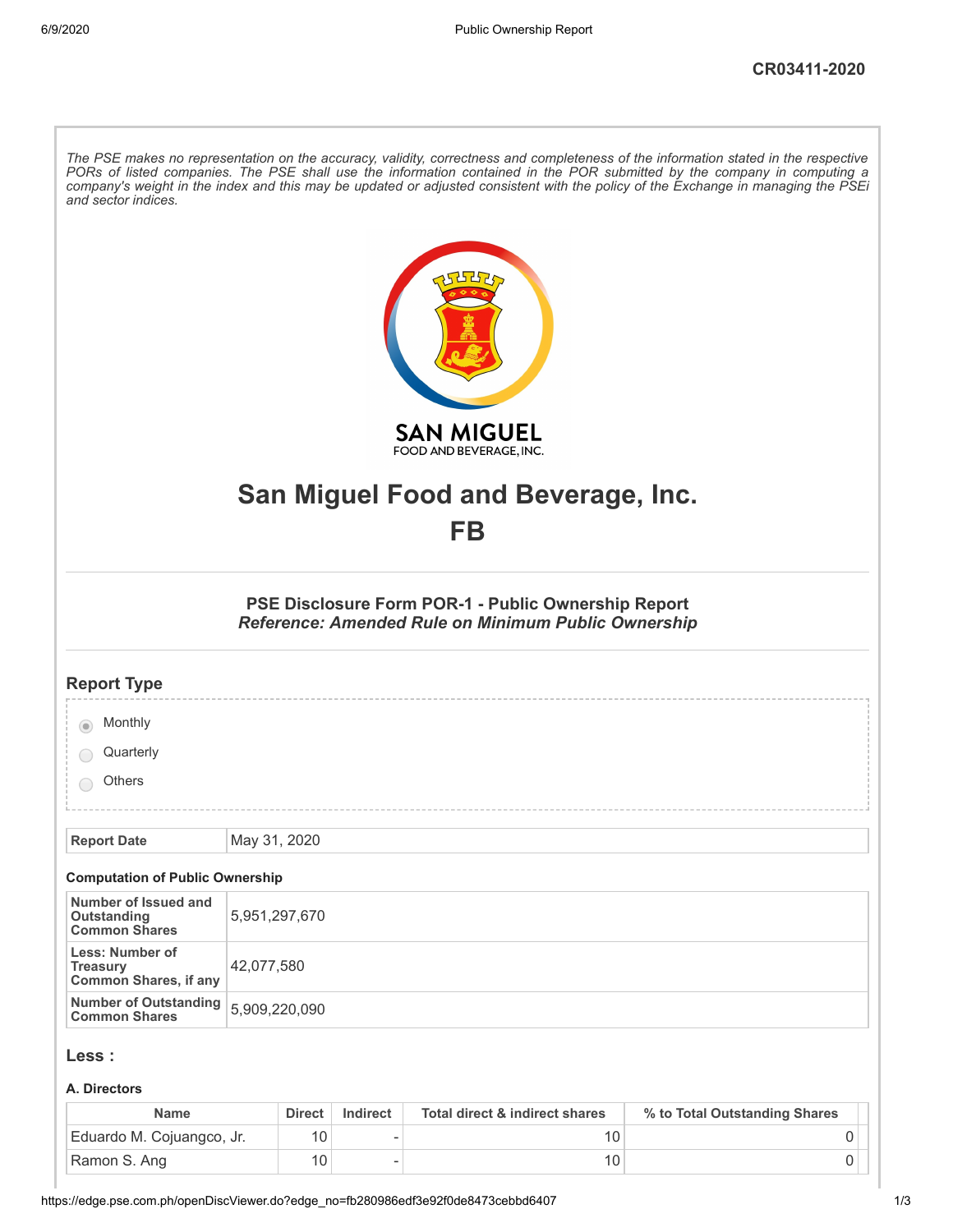| and sector indices.                                                | The PSE makes no representation on the accuracy, validity, correctness and completeness of the information stated in the respective<br>PORs of listed companies. The PSE shall use the information contained in the POR submitted by the company in computing a<br>company's weight in the index and this may be updated or adjusted consistent with the policy of the Exchange in managing the PSEi |
|--------------------------------------------------------------------|------------------------------------------------------------------------------------------------------------------------------------------------------------------------------------------------------------------------------------------------------------------------------------------------------------------------------------------------------------------------------------------------------|
|                                                                    | <b>SAN MIGUEL</b><br>FOOD AND BEVERAGE, INC.                                                                                                                                                                                                                                                                                                                                                         |
|                                                                    | San Miguel Food and Beverage, Inc.                                                                                                                                                                                                                                                                                                                                                                   |
|                                                                    | FB                                                                                                                                                                                                                                                                                                                                                                                                   |
|                                                                    | PSE Disclosure Form POR-1 - Public Ownership Report<br>Reference: Amended Rule on Minimum Public Ownership                                                                                                                                                                                                                                                                                           |
| <b>Report Type</b>                                                 |                                                                                                                                                                                                                                                                                                                                                                                                      |
| Monthly                                                            |                                                                                                                                                                                                                                                                                                                                                                                                      |
| Quarterly                                                          |                                                                                                                                                                                                                                                                                                                                                                                                      |
| <b>Others</b>                                                      |                                                                                                                                                                                                                                                                                                                                                                                                      |
| <b>Report Date</b>                                                 | May 31, 2020                                                                                                                                                                                                                                                                                                                                                                                         |
| <b>Computation of Public Ownership</b>                             |                                                                                                                                                                                                                                                                                                                                                                                                      |
| Number of Issued and<br>Outstanding<br><b>Common Shares</b>        | 5,951,297,670                                                                                                                                                                                                                                                                                                                                                                                        |
| Less: Number of<br><b>Treasury</b><br><b>Common Shares, if any</b> | 42,077,580                                                                                                                                                                                                                                                                                                                                                                                           |
| <b>Number of Outstanding</b><br><b>Common Shares</b>               | 5,909,220,090                                                                                                                                                                                                                                                                                                                                                                                        |
| Less :                                                             |                                                                                                                                                                                                                                                                                                                                                                                                      |
| A. Directors                                                       |                                                                                                                                                                                                                                                                                                                                                                                                      |

| Name                      | <b>Direct</b> | Indirect | Total direct & indirect shares | % to Total Outstanding Shares |  |
|---------------------------|---------------|----------|--------------------------------|-------------------------------|--|
| Eduardo M. Cojuangco, Jr. | 10            |          |                                |                               |  |
| Ramon S. Ang              | 10            |          |                                |                               |  |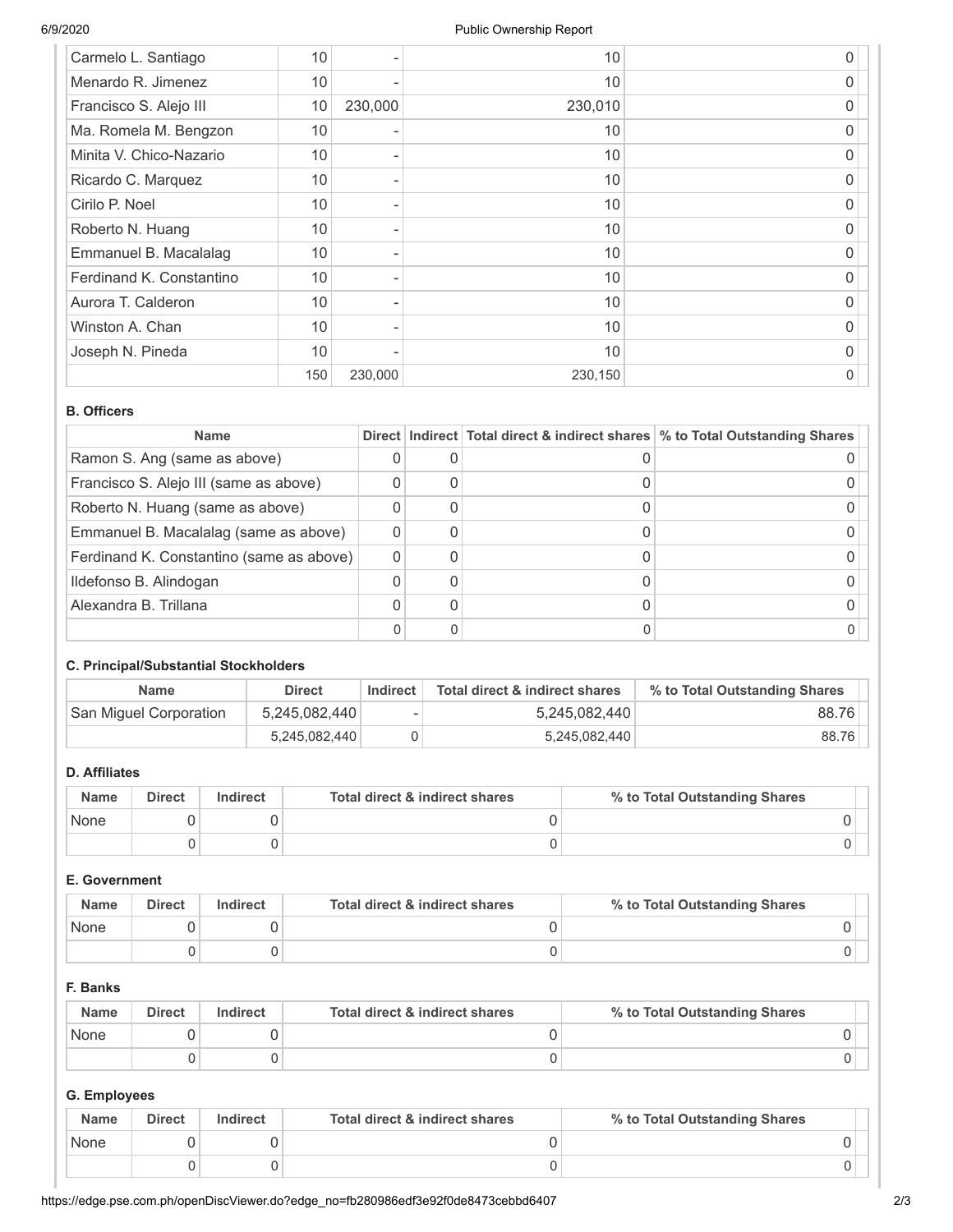| Carmelo L. Santiago      | 10  |         | 10      | 0 |
|--------------------------|-----|---------|---------|---|
| Menardo R. Jimenez       | 10  |         | 10      | 0 |
| Francisco S. Alejo III   | 10  | 230,000 | 230,010 | O |
| Ma. Romela M. Bengzon    | 10  |         | 10      | O |
| Minita V. Chico-Nazario  | 10  |         | 10      | 0 |
| Ricardo C. Marquez       | 10  |         | 10      | 0 |
| Cirilo P. Noel           | 10  |         | 10      | O |
| Roberto N. Huang         | 10  |         | 10      | 0 |
| Emmanuel B. Macalalag    | 10  |         | 10      | 0 |
| Ferdinand K. Constantino | 10  |         | 10      | O |
| Aurora T. Calderon       | 10  |         | 10      | 0 |
| Winston A. Chan          | 10  |         | 10      | 0 |
| Joseph N. Pineda         | 10  |         | 10      | 0 |
|                          | 150 | 230,000 | 230,150 | 0 |

### **B. Officers**

| <b>Name</b>                              |  | Direct   Indirect   Total direct & indirect shares   % to Total Outstanding Shares |
|------------------------------------------|--|------------------------------------------------------------------------------------|
| Ramon S. Ang (same as above)             |  |                                                                                    |
| Francisco S. Alejo III (same as above)   |  |                                                                                    |
| Roberto N. Huang (same as above)         |  |                                                                                    |
| Emmanuel B. Macalalag (same as above)    |  |                                                                                    |
| Ferdinand K. Constantino (same as above) |  |                                                                                    |
| Ildefonso B. Alindogan                   |  |                                                                                    |
| Alexandra B. Trillana                    |  |                                                                                    |
|                                          |  |                                                                                    |

# **C. Principal/Substantial Stockholders**

| <b>Name</b>            | <b>Direct</b> | Indirect | Total direct & indirect shares | % to Total Outstanding Shares |
|------------------------|---------------|----------|--------------------------------|-------------------------------|
| San Miguel Corporation | 5,245,082,440 | ۰        | 5,245,082,440                  | 88.76                         |
|                        | 5,245,082,440 |          | 5,245,082,440                  | 88.76                         |

# **D. Affiliates**

| <b>Name</b> | <b>Direct</b> | Indirect | Total direct & indirect shares | % to Total Outstanding Shares |
|-------------|---------------|----------|--------------------------------|-------------------------------|
| None        |               |          |                                |                               |
|             |               |          |                                |                               |

# **E. Government**

| <b>Name</b> | <b>Direct</b> | <b>Indirect</b> | Total direct & indirect shares | % to Total Outstanding Shares |
|-------------|---------------|-----------------|--------------------------------|-------------------------------|
| None        |               |                 |                                |                               |
|             |               |                 |                                |                               |

### **F. Banks**

| <b>Name</b> | <b>Direct</b> | Indirect | Total direct & indirect shares | % to Total Outstanding Shares |
|-------------|---------------|----------|--------------------------------|-------------------------------|
| None        |               |          |                                |                               |
|             |               |          |                                |                               |

# **G. Employees**

| <b>Name</b> | <b>Direct</b> | Indirect | Total direct & indirect shares | % to Total Outstanding Shares |
|-------------|---------------|----------|--------------------------------|-------------------------------|
| None        |               |          |                                |                               |
|             |               |          |                                |                               |